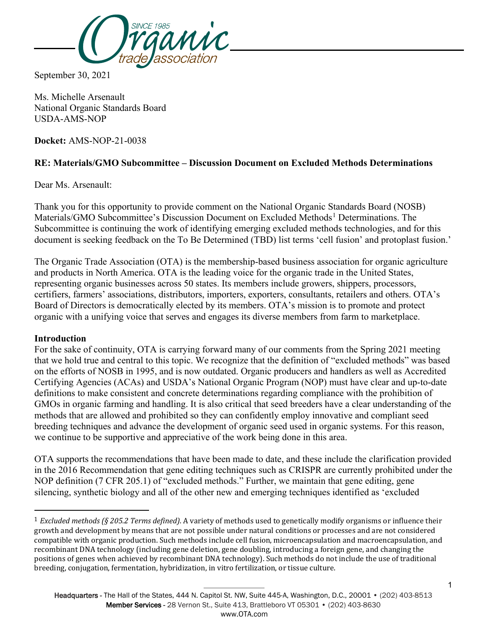

September 30, 2021

Ms. Michelle Arsenault National Organic Standards Board USDA-AMS-NOP

**Docket:** AMS-NOP-21-0038

# **RE: Materials/GMO Subcommittee – Discussion Document on Excluded Methods Determinations**

Dear Ms. Arsenault:

Thank you for this opportunity to provide comment on the National Organic Standards Board (NOSB) Materials/GMO Subcommittee's Discussion Document on Excluded Methods<sup>[1](#page-0-0)</sup> Determinations. The Subcommittee is continuing the work of identifying emerging excluded methods technologies, and for this document is seeking feedback on the To Be Determined (TBD) list terms 'cell fusion' and protoplast fusion.'

The Organic Trade Association (OTA) is the membership-based business association for organic agriculture and products in North America. OTA is the leading voice for the organic trade in the United States, representing organic businesses across 50 states. Its members include growers, shippers, processors, certifiers, farmers' associations, distributors, importers, exporters, consultants, retailers and others. OTA's Board of Directors is democratically elected by its members. OTA's mission is to promote and protect organic with a unifying voice that serves and engages its diverse members from farm to marketplace.

### **Introduction**

 $\overline{a}$ 

For the sake of continuity, OTA is carrying forward many of our comments from the Spring 2021 meeting that we hold true and central to this topic. We recognize that the definition of "excluded methods" was based on the efforts of NOSB in 1995, and is now outdated. Organic producers and handlers as well as Accredited Certifying Agencies (ACAs) and USDA's National Organic Program (NOP) must have clear and up-to-date definitions to make consistent and concrete determinations regarding compliance with the prohibition of GMOs in organic farming and handling. It is also critical that seed breeders have a clear understanding of the methods that are allowed and prohibited so they can confidently employ innovative and compliant seed breeding techniques and advance the development of organic seed used in organic systems. For this reason, we continue to be supportive and appreciative of the work being done in this area.

OTA supports the recommendations that have been made to date, and these include the clarification provided in the 2016 Recommendation that gene editing techniques such as CRISPR are currently prohibited under the NOP definition (7 CFR 205.1) of "excluded methods." Further, we maintain that gene editing, gene silencing, synthetic biology and all of the other new and emerging techniques identified as 'excluded

<span id="page-0-0"></span><sup>1</sup> *Excluded methods (§ 205.2 Terms defined).* A variety of methods used to genetically modify organisms or influence their growth and development by means that are not possible under natural conditions or processes and are not considered compatible with organic production. Such methods include cell fusion, microencapsulation and macroencapsulation, and recombinant DNA technology (including gene deletion, gene doubling, introducing a foreign gene, and changing the positions of genes when achieved by recombinant DNA technology). Such methods do not include the use of traditional breeding, conjugation, fermentation, hybridization, in vitro fertilization, or tissue culture.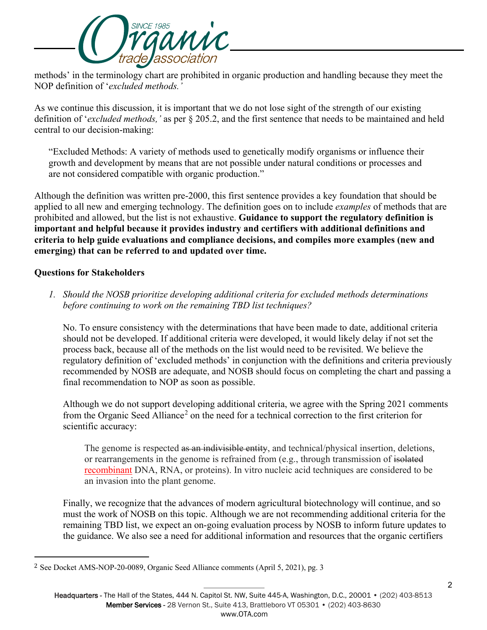

methods' in the terminology chart are prohibited in organic production and handling because they meet the NOP definition of '*excluded methods.'*

As we continue this discussion, it is important that we do not lose sight of the strength of our existing definition of '*excluded methods,'* as per § 205.2, and the first sentence that needs to be maintained and held central to our decision-making:

"Excluded Methods: A variety of methods used to genetically modify organisms or influence their growth and development by means that are not possible under natural conditions or processes and are not considered compatible with organic production."

Although the definition was written pre-2000, this first sentence provides a key foundation that should be applied to all new and emerging technology. The definition goes on to include *examples* of methods that are prohibited and allowed, but the list is not exhaustive. **Guidance to support the regulatory definition is important and helpful because it provides industry and certifiers with additional definitions and criteria to help guide evaluations and compliance decisions, and compiles more examples (new and emerging) that can be referred to and updated over time.** 

## **Questions for Stakeholders**

 $\overline{a}$ 

*1. Should the NOSB prioritize developing additional criteria for excluded methods determinations before continuing to work on the remaining TBD list techniques?* 

No. To ensure consistency with the determinations that have been made to date, additional criteria should not be developed. If additional criteria were developed, it would likely delay if not set the process back, because all of the methods on the list would need to be revisited. We believe the regulatory definition of 'excluded methods' in conjunction with the definitions and criteria previously recommended by NOSB are adequate, and NOSB should focus on completing the chart and passing a final recommendation to NOP as soon as possible.

Although we do not support developing additional criteria, we agree with the Spring 2021 comments from the Organic Seed Alliance<sup>[2](#page-1-0)</sup> on the need for a technical correction to the first criterion for scientific accuracy:

The genome is respected as an indivisible entity, and technical/physical insertion, deletions, or rearrangements in the genome is refrained from (e.g., through transmission of isolated recombinant DNA, RNA, or proteins). In vitro nucleic acid techniques are considered to be an invasion into the plant genome.

Finally, we recognize that the advances of modern agricultural biotechnology will continue, and so must the work of NOSB on this topic. Although we are not recommending additional criteria for the remaining TBD list, we expect an on-going evaluation process by NOSB to inform future updates to the guidance. We also see a need for additional information and resources that the organic certifiers

<span id="page-1-0"></span><sup>2</sup> See Docket AMS-NOP-20-0089, Organic Seed Alliance comments (April 5, 2021), pg. 3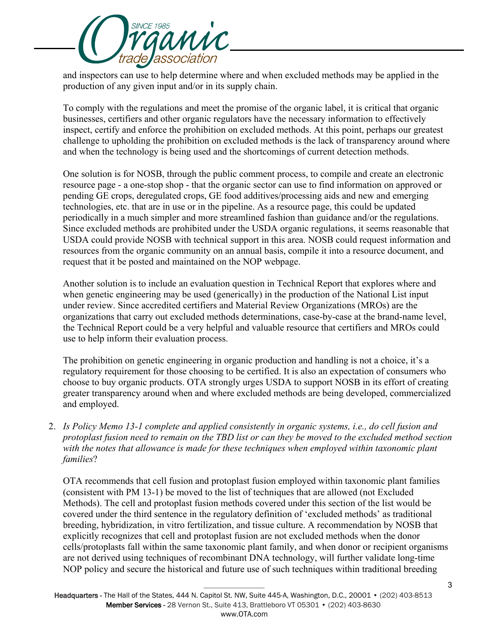

and inspectors can use to help determine where and when excluded methods may be applied in the production of any given input and/or in its supply chain.

To comply with the regulations and meet the promise of the organic label, it is critical that organic businesses, certifiers and other organic regulators have the necessary information to effectively inspect, certify and enforce the prohibition on excluded methods. At this point, perhaps our greatest challenge to upholding the prohibition on excluded methods is the lack of transparency around where and when the technology is being used and the shortcomings of current detection methods.

One solution is for NOSB, through the public comment process, to compile and create an electronic resource page - a one-stop shop - that the organic sector can use to find information on approved or pending GE crops, deregulated crops, GE food additives/processing aids and new and emerging technologies, etc. that are in use or in the pipeline. As a resource page, this could be updated periodically in a much simpler and more streamlined fashion than guidance and/or the regulations. Since excluded methods are prohibited under the USDA organic regulations, it seems reasonable that USDA could provide NOSB with technical support in this area. NOSB could request information and resources from the organic community on an annual basis, compile it into a resource document, and request that it be posted and maintained on the NOP webpage.

Another solution is to include an evaluation question in Technical Report that explores where and when genetic engineering may be used (generically) in the production of the National List input under review. Since accredited certifiers and Material Review Organizations (MROs) are the organizations that carry out excluded methods determinations, case-by-case at the brand-name level, the Technical Report could be a very helpful and valuable resource that certifiers and MROs could use to help inform their evaluation process.

The prohibition on genetic engineering in organic production and handling is not a choice, it's a regulatory requirement for those choosing to be certified. It is also an expectation of consumers who choose to buy organic products. OTA strongly urges USDA to support NOSB in its effort of creating greater transparency around when and where excluded methods are being developed, commercialized and employed.

2. *Is Policy Memo 13-1 complete and applied consistently in organic systems, i.e., do cell fusion and protoplast fusion need to remain on the TBD list or can they be moved to the excluded method section*  with the notes that allowance is made for these techniques when employed within taxonomic plant *families*?

OTA recommends that cell fusion and protoplast fusion employed within taxonomic plant families (consistent with PM 13-1) be moved to the list of techniques that are allowed (not Excluded Methods). The cell and protoplast fusion methods covered under this section of the list would be covered under the third sentence in the regulatory definition of 'excluded methods' as traditional breeding, hybridization, in vitro fertilization, and tissue culture. A recommendation by NOSB that explicitly recognizes that cell and protoplast fusion are not excluded methods when the donor cells/protoplasts fall within the same taxonomic plant family, and when donor or recipient organisms are not derived using techniques of recombinant DNA technology, will further validate long-time NOP policy and secure the historical and future use of such techniques within traditional breeding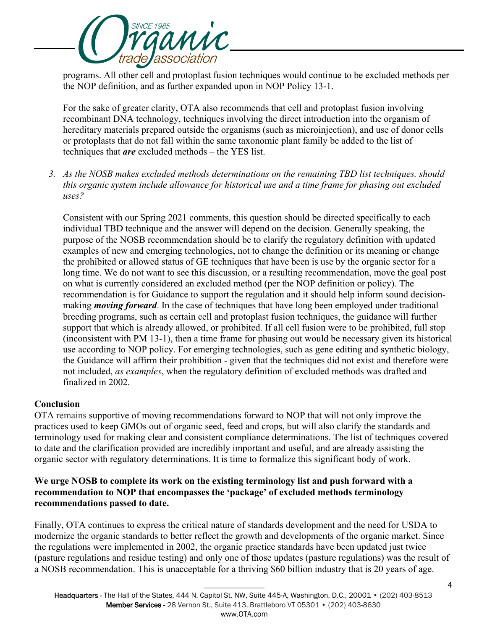

programs. All other cell and protoplast fusion techniques would continue to be excluded methods per the NOP definition, and as further expanded upon in NOP Policy 13-1.

For the sake of greater clarity, OTA also recommends that cell and protoplast fusion involving recombinant DNA technology, techniques involving the direct introduction into the organism of hereditary materials prepared outside the organisms (such as microinjection), and use of donor cells or protoplasts that do not fall within the same taxonomic plant family be added to the list of techniques that *are* excluded methods – the YES list.

*3. As the NOSB makes excluded methods determinations on the remaining TBD list techniques, should this organic system include allowance for historical use and a time frame for phasing out excluded uses?* 

Consistent with our Spring 2021 comments, this question should be directed specifically to each individual TBD technique and the answer will depend on the decision. Generally speaking, the purpose of the NOSB recommendation should be to clarify the regulatory definition with updated examples of new and emerging technologies, not to change the definition or its meaning or change the prohibited or allowed status of GE techniques that have been is use by the organic sector for a long time. We do not want to see this discussion, or a resulting recommendation, move the goal post on what is currently considered an excluded method (per the NOP definition or policy). The recommendation is for Guidance to support the regulation and it should help inform sound decisionmaking *moving forward*. In the case of techniques that have long been employed under traditional breeding programs, such as certain cell and protoplast fusion techniques, the guidance will further support that which is already allowed, or prohibited. If all cell fusion were to be prohibited, full stop (inconsistent with PM 13-1), then a time frame for phasing out would be necessary given its historical use according to NOP policy. For emerging technologies, such as gene editing and synthetic biology, the Guidance will affirm their prohibition - given that the techniques did not exist and therefore were not included, *as examples*, when the regulatory definition of excluded methods was drafted and finalized in 2002.

### **Conclusion**

OTA remains supportive of moving recommendations forward to NOP that will not only improve the practices used to keep GMOs out of organic seed, feed and crops, but will also clarify the standards and terminology used for making clear and consistent compliance determinations. The list of techniques covered to date and the clarification provided are incredibly important and useful, and are already assisting the organic sector with regulatory determinations. It is time to formalize this significant body of work.

## **We urge NOSB to complete its work on the existing terminology list and push forward with a recommendation to NOP that encompasses the 'package' of excluded methods terminology recommendations passed to date.**

Finally, OTA continues to express the critical nature of standards development and the need for USDA to modernize the organic standards to better reflect the growth and developments of the organic market. Since the regulations were implemented in 2002, the organic practice standards have been updated just twice (pasture regulations and residue testing) and only one of those updates (pasture regulations) was the result of a NOSB recommendation. This is unacceptable for a thriving \$60 billion industry that is 20 years of age.